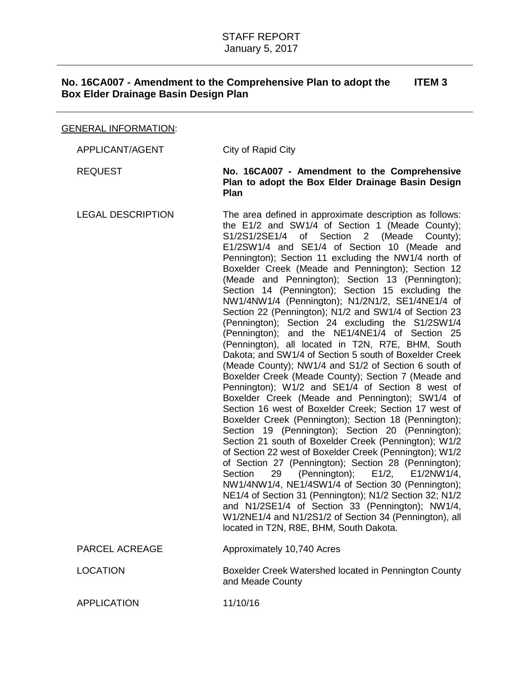# GENERAL INFORMATION:

| APPLICANT/AGENT          | City of Rapid City                                                                                                                                                                                                                                                                                                                                                                                                                                                                                                                                                                                                                                                                                                                                                                                                                                                                                                                                                                                                                                                                                                                                                                                                                                                                                                                                                                                                                                                                                                                                                                                                                                                                 |
|--------------------------|------------------------------------------------------------------------------------------------------------------------------------------------------------------------------------------------------------------------------------------------------------------------------------------------------------------------------------------------------------------------------------------------------------------------------------------------------------------------------------------------------------------------------------------------------------------------------------------------------------------------------------------------------------------------------------------------------------------------------------------------------------------------------------------------------------------------------------------------------------------------------------------------------------------------------------------------------------------------------------------------------------------------------------------------------------------------------------------------------------------------------------------------------------------------------------------------------------------------------------------------------------------------------------------------------------------------------------------------------------------------------------------------------------------------------------------------------------------------------------------------------------------------------------------------------------------------------------------------------------------------------------------------------------------------------------|
| <b>REQUEST</b>           | No. 16CA007 - Amendment to the Comprehensive<br>Plan to adopt the Box Elder Drainage Basin Design<br><b>Plan</b>                                                                                                                                                                                                                                                                                                                                                                                                                                                                                                                                                                                                                                                                                                                                                                                                                                                                                                                                                                                                                                                                                                                                                                                                                                                                                                                                                                                                                                                                                                                                                                   |
| <b>LEGAL DESCRIPTION</b> | The area defined in approximate description as follows:<br>the E1/2 and SW1/4 of Section 1 (Meade County);<br>Section<br>2 (Meade<br>S1/2S1/2SE1/4<br>of<br>County);<br>E1/2SW1/4 and SE1/4 of Section 10 (Meade and<br>Pennington); Section 11 excluding the NW1/4 north of<br>Boxelder Creek (Meade and Pennington); Section 12<br>(Meade and Pennington); Section 13 (Pennington);<br>Section 14 (Pennington); Section 15 excluding the<br>NW1/4NW1/4 (Pennington); N1/2N1/2, SE1/4NE1/4 of<br>Section 22 (Pennington); N1/2 and SW1/4 of Section 23<br>(Pennington); Section 24 excluding the S1/2SW1/4<br>(Pennington); and the NE1/4NE1/4 of Section 25<br>(Pennington), all located in T2N, R7E, BHM, South<br>Dakota; and SW1/4 of Section 5 south of Boxelder Creek<br>(Meade County); NW1/4 and S1/2 of Section 6 south of<br>Boxelder Creek (Meade County); Section 7 (Meade and<br>Pennington); W1/2 and SE1/4 of Section 8 west of<br>Boxelder Creek (Meade and Pennington); SW1/4 of<br>Section 16 west of Boxelder Creek; Section 17 west of<br>Boxelder Creek (Pennington); Section 18 (Pennington);<br>Section 19 (Pennington); Section 20 (Pennington);<br>Section 21 south of Boxelder Creek (Pennington); W1/2<br>of Section 22 west of Boxelder Creek (Pennington); W1/2<br>of Section 27 (Pennington); Section 28 (Pennington);<br>(Pennington); E1/2, E1/2NW1/4,<br>Section<br>29<br>NW1/4NW1/4, NE1/4SW1/4 of Section 30 (Pennington);<br>NE1/4 of Section 31 (Pennington); N1/2 Section 32; N1/2<br>and N1/2SE1/4 of Section 33 (Pennington); NW1/4,<br>W1/2NE1/4 and N1/2S1/2 of Section 34 (Pennington), all<br>located in T2N, R8E, BHM, South Dakota. |
| PARCEL ACREAGE           | Approximately 10,740 Acres                                                                                                                                                                                                                                                                                                                                                                                                                                                                                                                                                                                                                                                                                                                                                                                                                                                                                                                                                                                                                                                                                                                                                                                                                                                                                                                                                                                                                                                                                                                                                                                                                                                         |
| <b>LOCATION</b>          | Boxelder Creek Watershed located in Pennington County<br>and Meade County                                                                                                                                                                                                                                                                                                                                                                                                                                                                                                                                                                                                                                                                                                                                                                                                                                                                                                                                                                                                                                                                                                                                                                                                                                                                                                                                                                                                                                                                                                                                                                                                          |
| <b>APPLICATION</b>       | 11/10/16                                                                                                                                                                                                                                                                                                                                                                                                                                                                                                                                                                                                                                                                                                                                                                                                                                                                                                                                                                                                                                                                                                                                                                                                                                                                                                                                                                                                                                                                                                                                                                                                                                                                           |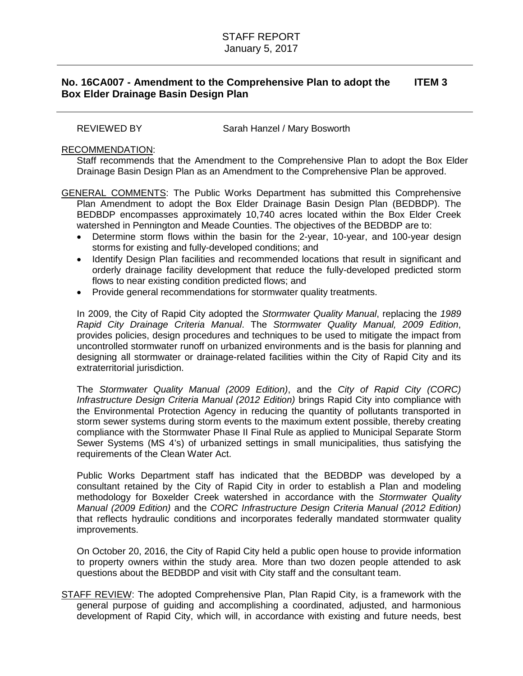REVIEWED BY Sarah Hanzel / Mary Bosworth

## RECOMMENDATION:

Staff recommends that the Amendment to the Comprehensive Plan to adopt the Box Elder Drainage Basin Design Plan as an Amendment to the Comprehensive Plan be approved.

GENERAL COMMENTS: The Public Works Department has submitted this Comprehensive Plan Amendment to adopt the Box Elder Drainage Basin Design Plan (BEDBDP). The BEDBDP encompasses approximately 10,740 acres located within the Box Elder Creek watershed in Pennington and Meade Counties. The objectives of the BEDBDP are to:

- Determine storm flows within the basin for the 2-year, 10-year, and 100-year design storms for existing and fully-developed conditions; and
- Identify Design Plan facilities and recommended locations that result in significant and orderly drainage facility development that reduce the fully-developed predicted storm flows to near existing condition predicted flows; and
- Provide general recommendations for stormwater quality treatments.

In 2009, the City of Rapid City adopted the *Stormwater Quality Manual*, replacing the *1989 Rapid City Drainage Criteria Manual*. The *Stormwater Quality Manual, 2009 Edition*, provides policies, design procedures and techniques to be used to mitigate the impact from uncontrolled stormwater runoff on urbanized environments and is the basis for planning and designing all stormwater or drainage-related facilities within the City of Rapid City and its extraterritorial jurisdiction.

The *Stormwater Quality Manual (2009 Edition)*, and the *City of Rapid City (CORC) Infrastructure Design Criteria Manual (2012 Edition)* brings Rapid City into compliance with the Environmental Protection Agency in reducing the quantity of pollutants transported in storm sewer systems during storm events to the maximum extent possible, thereby creating compliance with the Stormwater Phase II Final Rule as applied to Municipal Separate Storm Sewer Systems (MS 4's) of urbanized settings in small municipalities, thus satisfying the requirements of the Clean Water Act.

Public Works Department staff has indicated that the BEDBDP was developed by a consultant retained by the City of Rapid City in order to establish a Plan and modeling methodology for Boxelder Creek watershed in accordance with the *Stormwater Quality Manual (2009 Edition)* and the *CORC Infrastructure Design Criteria Manual (2012 Edition)* that reflects hydraulic conditions and incorporates federally mandated stormwater quality improvements.

On October 20, 2016, the City of Rapid City held a public open house to provide information to property owners within the study area. More than two dozen people attended to ask questions about the BEDBDP and visit with City staff and the consultant team.

STAFF REVIEW: The adopted Comprehensive Plan, Plan Rapid City, is a framework with the general purpose of guiding and accomplishing a coordinated, adjusted, and harmonious development of Rapid City, which will, in accordance with existing and future needs, best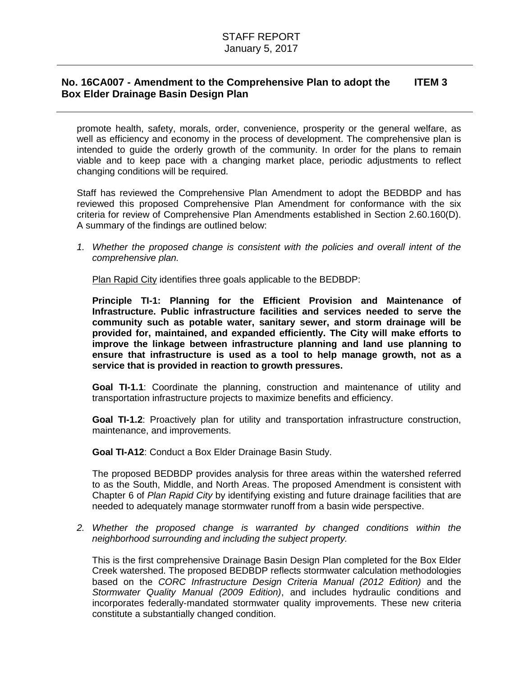promote health, safety, morals, order, convenience, prosperity or the general welfare, as well as efficiency and economy in the process of development. The comprehensive plan is intended to guide the orderly growth of the community. In order for the plans to remain viable and to keep pace with a changing market place, periodic adjustments to reflect changing conditions will be required.

Staff has reviewed the Comprehensive Plan Amendment to adopt the BEDBDP and has reviewed this proposed Comprehensive Plan Amendment for conformance with the six criteria for review of Comprehensive Plan Amendments established in Section 2.60.160(D). A summary of the findings are outlined below:

*1. Whether the proposed change is consistent with the policies and overall intent of the comprehensive plan.*

Plan Rapid City identifies three goals applicable to the BEDBDP:

**Principle TI-1: Planning for the Efficient Provision and Maintenance of Infrastructure. Public infrastructure facilities and services needed to serve the community such as potable water, sanitary sewer, and storm drainage will be provided for, maintained, and expanded efficiently. The City will make efforts to improve the linkage between infrastructure planning and land use planning to ensure that infrastructure is used as a tool to help manage growth, not as a service that is provided in reaction to growth pressures.** 

**Goal TI-1.1**: Coordinate the planning, construction and maintenance of utility and transportation infrastructure projects to maximize benefits and efficiency.

**Goal TI-1.2**: Proactively plan for utility and transportation infrastructure construction, maintenance, and improvements.

**Goal TI-A12**: Conduct a Box Elder Drainage Basin Study.

The proposed BEDBDP provides analysis for three areas within the watershed referred to as the South, Middle, and North Areas. The proposed Amendment is consistent with Chapter 6 of *Plan Rapid City* by identifying existing and future drainage facilities that are needed to adequately manage stormwater runoff from a basin wide perspective.

2. Whether the proposed change is warranted by changed conditions within the *neighborhood surrounding and including the subject property.*

This is the first comprehensive Drainage Basin Design Plan completed for the Box Elder Creek watershed. The proposed BEDBDP reflects stormwater calculation methodologies based on the *CORC Infrastructure Design Criteria Manual (2012 Edition)* and the *Stormwater Quality Manual (2009 Edition)*, and includes hydraulic conditions and incorporates federally-mandated stormwater quality improvements. These new criteria constitute a substantially changed condition.